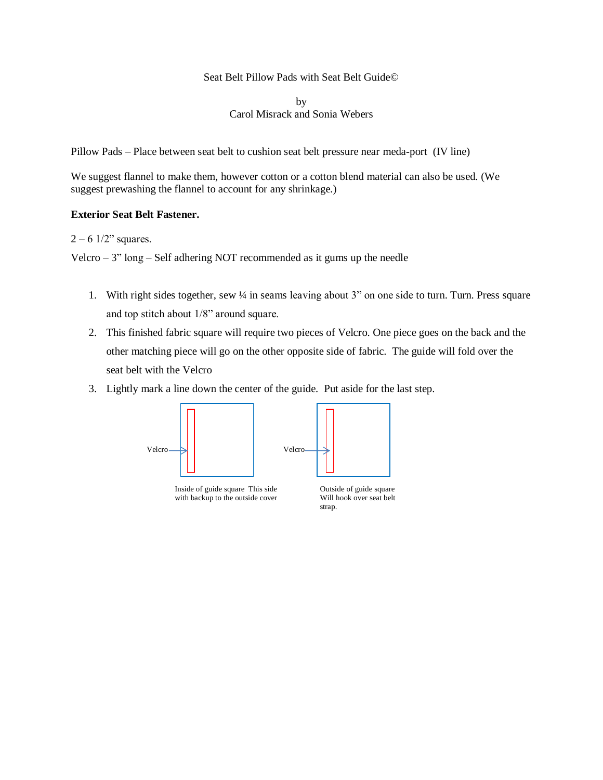#### Seat Belt Pillow Pads with Seat Belt Guide©

by Carol Misrack and Sonia Webers

Pillow Pads – Place between seat belt to cushion seat belt pressure near meda-port (IV line)

We suggest flannel to make them, however cotton or a cotton blend material can also be used. (We suggest prewashing the flannel to account for any shrinkage.)

### **Exterior Seat Belt Fastener.**

# $2 - 6$  1/2" squares.

Velcro –  $3$ " long – Self adhering NOT recommended as it gums up the needle

- 1. With right sides together, sew ¼ in seams leaving about 3" on one side to turn. Turn. Press square and top stitch about 1/8" around square.
- 2. This finished fabric square will require two pieces of Velcro. One piece goes on the back and the other matching piece will go on the other opposite side of fabric. The guide will fold over the seat belt with the Velcro
- 3. Lightly mark a line down the center of the guide. Put aside for the last step.



Inside of guide square This side with backup to the outside cover

Outside of guide square Will hook over seat belt strap.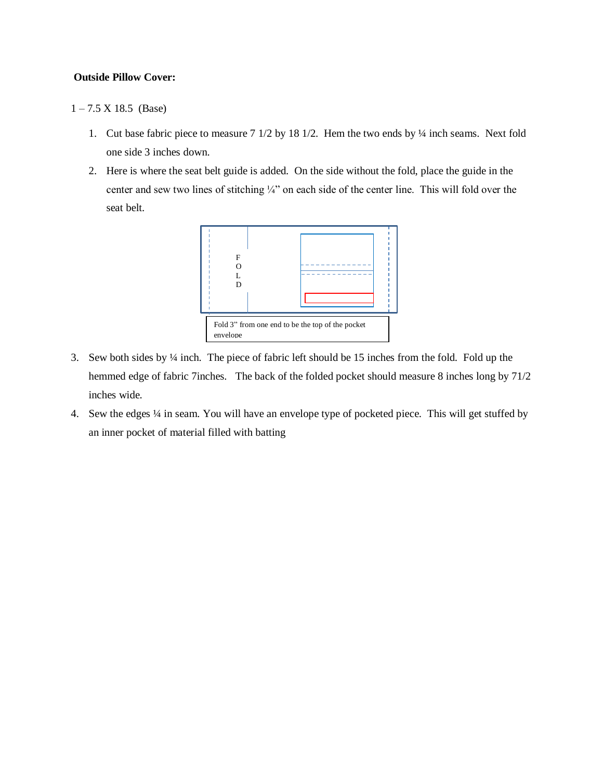## **Outside Pillow Cover:**

 $1 - 7.5 \text{ X } 18.5 \text{ (Base)}$ 

- 1. Cut base fabric piece to measure 7 1/2 by 18 1/2. Hem the two ends by ¼ inch seams. Next fold one side 3 inches down.
- 2. Here is where the seat belt guide is added. On the side without the fold, place the guide in the center and sew two lines of stitching ¼" on each side of the center line. This will fold over the seat belt.



- 3. Sew both sides by ¼ inch. The piece of fabric left should be 15 inches from the fold. Fold up the hemmed edge of fabric 7inches. The back of the folded pocket should measure 8 inches long by 71/2 inches wide.
- 4. Sew the edges ¼ in seam. You will have an envelope type of pocketed piece. This will get stuffed by an inner pocket of material filled with batting